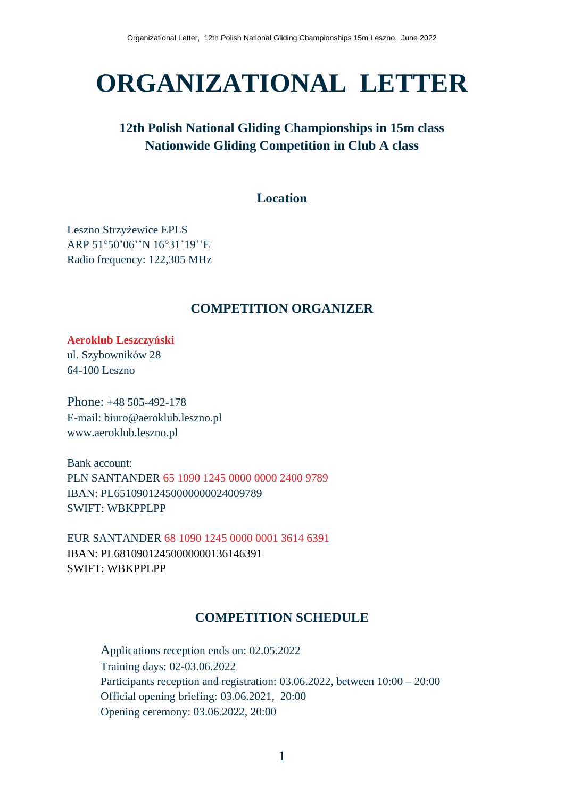# **ORGANIZATIONAL LETTER**

# **12th Polish National Gliding Championships in 15m class Nationwide Gliding Competition in Club A class**

# **Location**

Leszno Strzyżewice EPLS ARP 51°50'06''N 16°31'19''E Radio frequency: 122,305 MHz

## **COMPETITION ORGANIZER**

**Aeroklub Leszczyński** ul. Szybowników 28 64-100 Leszno

Phone: +48 505-492-178 E-mail: biuro@aeroklub.leszno.pl www.aeroklub.leszno.pl

Bank account: PLN SANTANDER 65 1090 1245 0000 0000 2400 9789 IBAN: PL65109012450000000024009789 SWIFT: WBKPPLPP

EUR SANTANDER 68 1090 1245 0000 0001 3614 6391 IBAN: PL68109012450000000136146391 SWIFT: WBKPPLPP

## **COMPETITION SCHEDULE**

Applications reception ends on: 02.05.2022 Training days: 02-03.06.2022 Participants reception and registration: 03.06.2022, between 10:00 – 20:00 Official opening briefing: 03.06.2021, 20:00 Opening ceremony: 03.06.2022, 20:00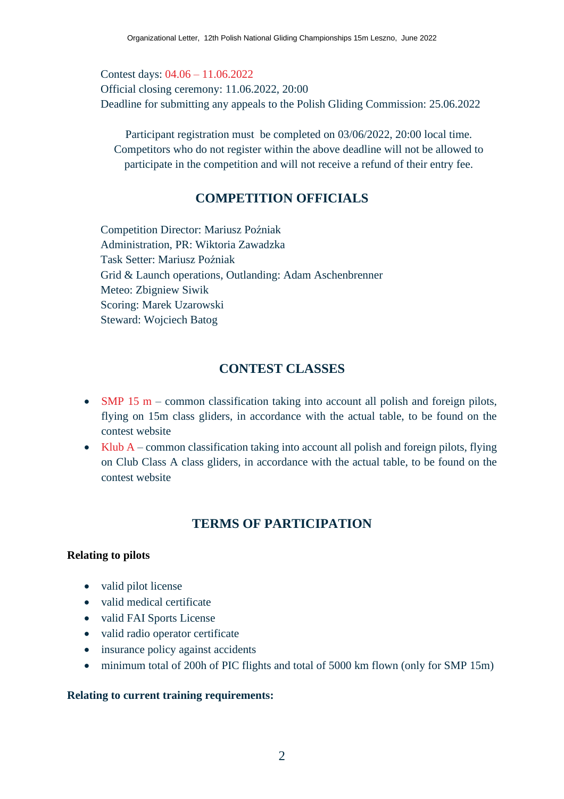Contest days: 04.06 – 11.06.2022 Official closing ceremony: 11.06.2022, 20:00 Deadline for submitting any appeals to the Polish Gliding Commission: 25.06.2022

Participant registration must be completed on 03/06/2022, 20:00 local time. Competitors who do not register within the above deadline will not be allowed to participate in the competition and will not receive a refund of their entry fee.

# **COMPETITION OFFICIALS**

Competition Director: Mariusz Poźniak Administration, PR: Wiktoria Zawadzka Task Setter: Mariusz Poźniak Grid & Launch operations, Outlanding: Adam Aschenbrenner Meteo: Zbigniew Siwik Scoring: Marek Uzarowski Steward: Wojciech Batog

# **CONTEST CLASSES**

- SMP 15 m common classification taking into account all polish and foreign pilots, flying on 15m class gliders, in accordance with the actual table, to be found on the contest website
- Klub A common classification taking into account all polish and foreign pilots, flying on Club Class A class gliders, in accordance with the actual table, to be found on the contest website

# **TERMS OF PARTICIPATION**

## **Relating to pilots**

- valid pilot license
- valid medical certificate
- valid FAI Sports License
- valid radio operator certificate
- insurance policy against accidents
- minimum total of 200h of PIC flights and total of 5000 km flown (only for SMP 15m)

#### **Relating to current training requirements:**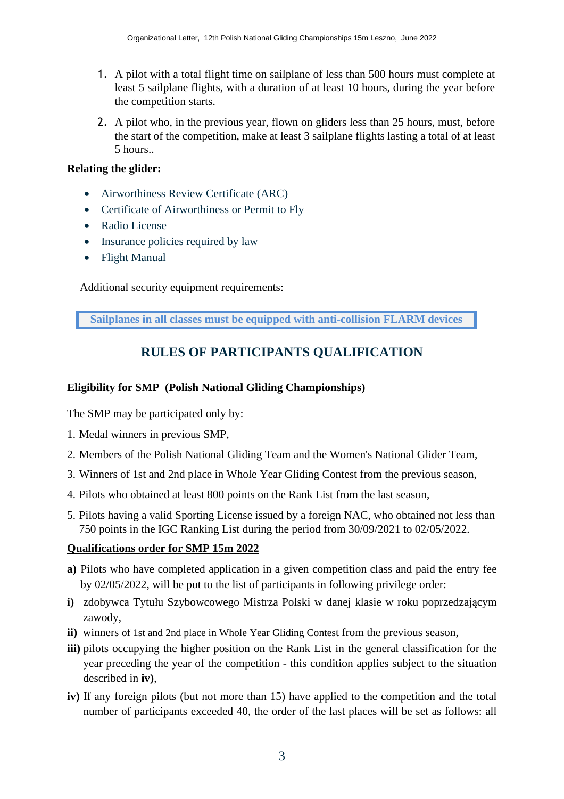- 1. A pilot with a total flight time on sailplane of less than 500 hours must complete at least 5 sailplane flights, with a duration of at least 10 hours, during the year before the competition starts.
- 2. A pilot who, in the previous year, flown on gliders less than 25 hours, must, before the start of the competition, make at least 3 sailplane flights lasting a total of at least 5 hours..

#### **Relating the glider:**

- Airworthiness Review Certificate (ARC)
- Certificate of Airworthiness or Permit to Fly
- Radio License
- Insurance policies required by law
- Flight Manual

Additional security equipment requirements:

**Sailplanes in all classes must be equipped with anti-collision FLARM devices**

# **RULES OF PARTICIPANTS QUALIFICATION**

#### **Eligibility for SMP (Polish National Gliding Championships)**

The SMP may be participated only by:

- 1. Medal winners in previous SMP,
- 2. Members of the Polish National Gliding Team and the Women's National Glider Team,
- 3. Winners of 1st and 2nd place in Whole Year Gliding Contest from the previous season,
- 4. Pilots who obtained at least 800 points on the Rank List from the last season,
- 5. Pilots having a valid Sporting License issued by a foreign NAC, who obtained not less than 750 points in the IGC Ranking List during the period from 30/09/2021 to 02/05/2022.

## **Qualifications order for SMP 15m 2022**

- **a)** Pilots who have completed application in a given competition class and paid the entry fee by 02/05/2022, will be put to the list of participants in following privilege order:
- **i)** zdobywca Tytułu Szybowcowego Mistrza Polski w danej klasie w roku poprzedzającym zawody,
- **ii)** winners of 1st and 2nd place in Whole Year Gliding Contest from the previous season,
- **iii)** pilots occupying the higher position on the Rank List in the general classification for the year preceding the year of the competition - this condition applies subject to the situation described in **iv)**,
- **iv)** If any foreign pilots (but not more than 15) have applied to the competition and the total number of participants exceeded 40, the order of the last places will be set as follows: all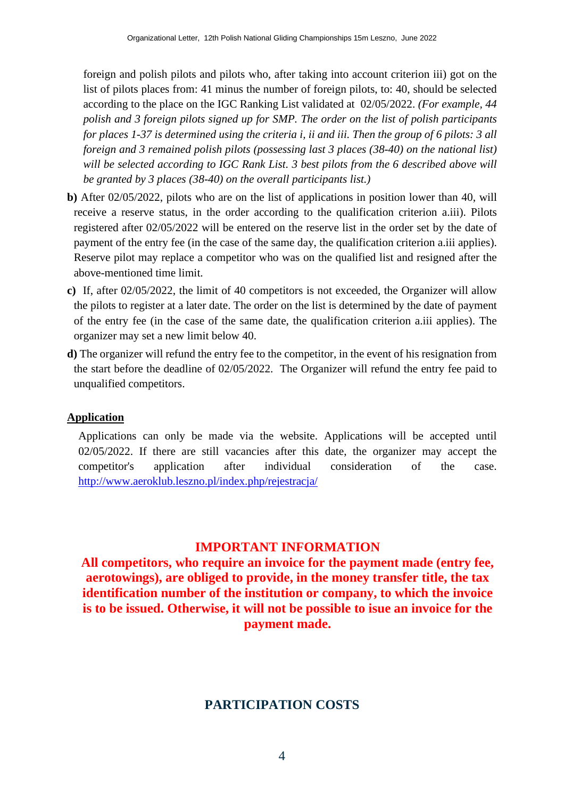foreign and polish pilots and pilots who, after taking into account criterion iii) got on the list of pilots places from: 41 minus the number of foreign pilots, to: 40, should be selected according to the place on the IGC Ranking List validated at 02/05/2022. *(For example, 44 polish and 3 foreign pilots signed up for SMP. The order on the list of polish participants* for places 1-37 is determined using the criteria i, ii and iii. Then the group of 6 pilots: 3 all *foreign and 3 remained polish pilots (possessing last 3 places (38-40) on the national list) will be selected according to IGC Rank List. 3 best pilots from the 6 described above will be granted by 3 places (38-40) on the overall participants list.)*

- **b)** After 02/05/2022, pilots who are on the list of applications in position lower than 40, will receive a reserve status, in the order according to the qualification criterion a.iii). Pilots registered after 02/05/2022 will be entered on the reserve list in the order set by the date of payment of the entry fee (in the case of the same day, the qualification criterion a.iii applies). Reserve pilot may replace a competitor who was on the qualified list and resigned after the above-mentioned time limit.
- **c)** If, after 02/05/2022, the limit of 40 competitors is not exceeded, the Organizer will allow the pilots to register at a later date. The order on the list is determined by the date of payment of the entry fee (in the case of the same date, the qualification criterion a.iii applies). The organizer may set a new limit below 40.
- **d)** The organizer will refund the entry fee to the competitor, in the event of his resignation from the start before the deadline of 02/05/2022. The Organizer will refund the entry fee paid to unqualified competitors.

## **Application**

Applications can only be made via the website. Applications will be accepted until 02/05/2022. If there are still vacancies after this date, the organizer may accept the competitor's application after individual consideration of the case. [http://www.aeroklub.leszno.pl/index.php/rejestracja/](http://www.aeroklub.leszno.pl/index.php/rejestracja/?fbclid=IwAR0SNbSLFhJBSt-sJ5Wmi2Di7UJeNcxkE9ez4wjn1y5oRVkp9tZkZPewC04)

## **IMPORTANT INFORMATION**

**All competitors, who require an invoice for the payment made (entry fee, aerotowings), are obliged to provide, in the money transfer title, the tax identification number of the institution or company, to which the invoice is to be issued. Otherwise, it will not be possible to isue an invoice for the payment made.**

## **PARTICIPATION COSTS**